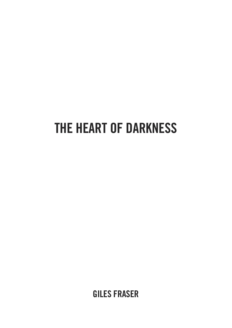## **THE HEART OF DARKNESS**

**GILES FRASER**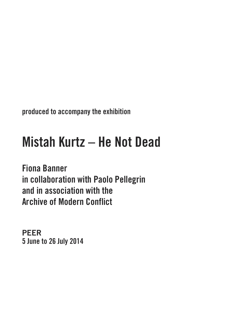**produced to accompany the exhibition**

## **Mistah Kurtz – He Not Dead**

**Fiona Banner in collaboration with Paolo Pellegrin and in association with the Archive of Modern Conflict**

**PEER 5 June to 26 July 2014**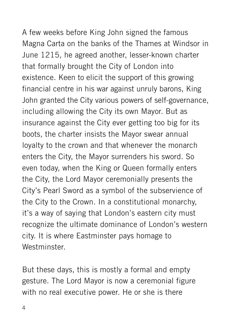A few weeks before King John signed the famous Magna Carta on the banks of the Thames at Windsor in June 1215, he agreed another, lesser-known charter that formally brought the City of London into existence. Keen to elicit the support of this growing financial centre in his war against unruly barons, King John granted the City various powers of self-governance, including allowing the City its own Mayor. But as insurance against the City ever getting too big for its boots, the charter insists the Mayor swear annual loyalty to the crown and that whenever the monarch enters the City, the Mayor surrenders his sword. So even today, when the King or Queen formally enters the City, the Lord Mayor ceremonially presents the City's Pearl Sword as a symbol of the subservience of the City to the Crown. In a constitutional monarchy, it's a way of saying that London's eastern city must recognize the ultimate dominance of London's western city. It is where Eastminster pays homage to Westminster.

But these days, this is mostly a formal and empty gesture. The Lord Mayor is now a ceremonial figure with no real executive power. He or she is there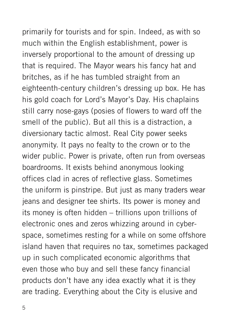primarily for tourists and for spin. Indeed, as with so much within the English establishment, power is inversely proportional to the amount of dressing up that is required. The Mayor wears his fancy hat and britches, as if he has tumbled straight from an eighteenth-century children's dressing up box. He has his gold coach for Lord's Mayor's Day. His chaplains still carry nose-gays (posies of flowers to ward off the smell of the public). But all this is a distraction, a diversionary tactic almost. Real City power seeks anonymity. It pays no fealty to the crown or to the wider public. Power is private, often run from overseas boardrooms. It exists behind anonymous looking offices clad in acres of reflective glass. Sometimes the uniform is pinstripe. But just as many traders wear jeans and designer tee shirts. Its power is money and its money is often hidden – trillions upon trillions of electronic ones and zeros whizzing around in cyberspace, sometimes resting for a while on some offshore island haven that requires no tax, sometimes packaged up in such complicated economic algorithms that even those who buy and sell these fancy financial products don't have any idea exactly what it is they are trading. Everything about the City is elusive and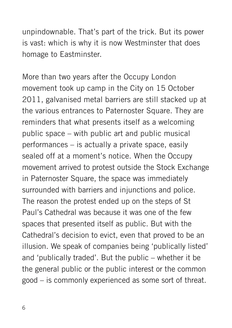unpindownable. That's part of the trick. But its power is vast: which is why it is now Westminster that does homage to Eastminster.

More than two years after the Occupy London movement took up camp in the City on 15 October 2011, galvanised metal barriers are still stacked up at the various entrances to Paternoster Square. They are reminders that what presents itself as a welcoming public space – with public art and public musical performances – is actually a private space, easily sealed off at a moment's notice. When the Occupy movement arrived to protest outside the Stock Exchange in Paternoster Square, the space was immediately surrounded with barriers and injunctions and police. The reason the protest ended up on the steps of St Paul's Cathedral was because it was one of the few spaces that presented itself as public. But with the Cathedral's decision to evict, even that proved to be an illusion. We speak of companies being 'publically listed' and 'publically traded'. But the public – whether it be the general public or the public interest or the common good – is commonly experienced as some sort of threat.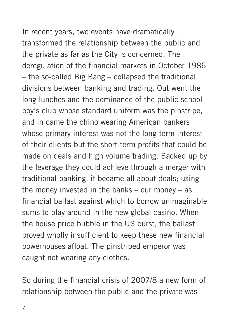In recent years, two events have dramatically transformed the relationship between the public and the private as far as the City is concerned. The deregulation of the financial markets in October 1986 – the so-called Big Bang – collapsed the traditional divisions between banking and trading. Out went the long lunches and the dominance of the public school boy's club whose standard uniform was the pinstripe, and in came the chino wearing American bankers whose primary interest was not the long-term interest of their clients but the short-term profits that could be made on deals and high volume trading. Backed up by the leverage they could achieve through a merger with traditional banking, it became all about deals; using the money invested in the banks – our money – as financial ballast against which to borrow unimaginable sums to play around in the new global casino. When the house price bubble in the US burst, the ballast proved wholly insufficient to keep these new financial powerhouses afloat. The pinstriped emperor was caught not wearing any clothes.

So during the financial crisis of 2007/8 a new form of relationship between the public and the private was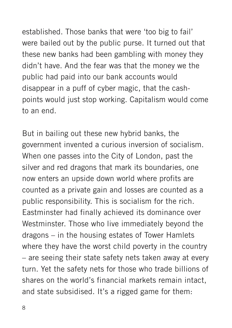established. Those banks that were 'too big to fail' were bailed out by the public purse. It turned out that these new banks had been gambling with money they didn't have. And the fear was that the money we the public had paid into our bank accounts would disappear in a puff of cyber magic, that the cashpoints would just stop working. Capitalism would come to an end.

But in bailing out these new hybrid banks, the government invented a curious inversion of socialism. When one passes into the City of London, past the silver and red dragons that mark its boundaries, one now enters an upside down world where profits are counted as a private gain and losses are counted as a public responsibility. This is socialism for the rich. Eastminster had finally achieved its dominance over Westminster. Those who live immediately beyond the dragons – in the housing estates of Tower Hamlets where they have the worst child poverty in the country – are seeing their state safety nets taken away at every turn. Yet the safety nets for those who trade billions of shares on the world's financial markets remain intact, and state subsidised. It's a rigged game for them: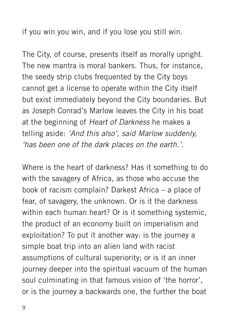if you win you win, and if you lose you still win.

The City, of course, presents itself as morally upright. The new mantra is moral bankers. Thus, for instance, the seedy strip clubs frequented by the City boys cannot get a license to operate within the City itself but exist immediately beyond the City boundaries. But as Joseph Conrad's Marlow leaves the City in his boat at the beginning of *Heart of Darkness* he makes a telling aside: *'And this also' , said Marlow suddenly, 'has been one of the dark places on the earth.'*.

Where is the heart of darkness? Has it something to do with the savagery of Africa, as those who accuse the book of racism complain? Darkest Africa – a place of fear, of savagery, the unknown. Or is it the darkness within each human heart? Or is it something systemic, the product of an economy built on imperialism and exploitation? To put it another way: is the journey a simple boat trip into an alien land with racist assumptions of cultural superiority; or is it an inner journey deeper into the spiritual vacuum of the human soul culminating in that famous vision of 'the horror' , or is the journey a backwards one, the further the boat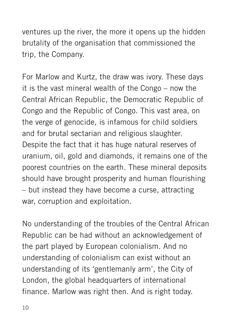ventures up the river, the more it opens up the hidden brutality of the organisation that commissioned the trip, the Company.

For Marlow and Kurtz, the draw was ivory. These days it is the vast mineral wealth of the Congo – now the Central African Republic, the Democratic Republic of Congo and the Republic of Congo. This vast area, on the verge of genocide, is infamous for child soldiers and for brutal sectarian and religious slaughter. Despite the fact that it has huge natural reserves of uranium, oil, gold and diamonds, it remains one of the poorest countries on the earth. These mineral deposits should have brought prosperity and human flourishing – but instead they have become a curse, attracting war, corruption and exploitation.

No understanding of the troubles of the Central African Republic can be had without an acknowledgement of the part played by European colonialism. And no understanding of colonialism can exist without an understanding of its 'gentlemanly arm' , the City of London, the global headquarters of international finance. Marlow was right then. And is right today.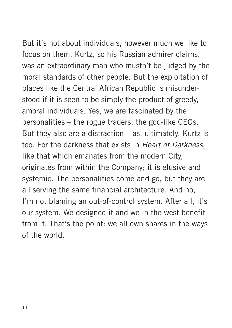## But it's not about individuals, however much we like to

focus on them. Kurtz, so his Russian admirer claims, was an extraordinary man who mustn't be judged by the moral standards of other people. But the exploitation of places like the Central African Republic is misunderstood if it is seen to be simply the product of greedy, amoral individuals. Yes, we are fascinated by the personalities – the rogue traders, the god-like CEOs. But they also are a distraction  $-$  as, ultimately, Kurtz is too. For the darkness that exists in *Heart of Darkness*, like that which emanates from the modern City, originates from within the Company; it is elusive and systemic. The personalities come and go, but they are all serving the same financial architecture. And no, I'm not blaming an out-of-control system. After all, it's our system. We designed it and we in the west benefit from it. That's the point: we all own shares in the ways of the world.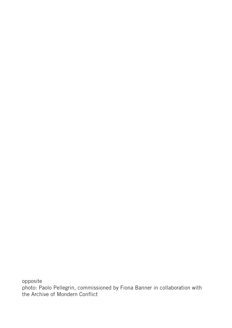o p p o s i t e photo: Paolo Pellegrin, commissioned by Fiona Banner in collaboration with the Archive of Mondern Conflict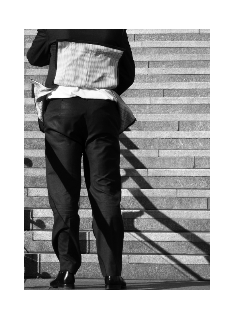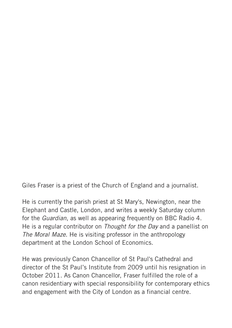Giles Fraser is a priest of the Church of England and a journalist.

He is currently the parish priest at St Mary's, Newington, near the Elephant and Castle, London, and writes a weekly Saturday column for the *Guardian*, as well as appearing frequently on BBC Radio 4. He is a regular contributor on *Thought for the Day* and a panellist on *The Moral Maze*. He is visiting professor in the anthropology department at the London School of Economics.

He was previously Canon Chancellor of St Paul's Cathedral and director of the St Paul's Institute from 2009 until his resignation in October 2011. As Canon Chancellor, Fraser fulfilled the role of a canon residentiary with special responsibility for contemporary ethics and engagement with the City of London as a financial centre.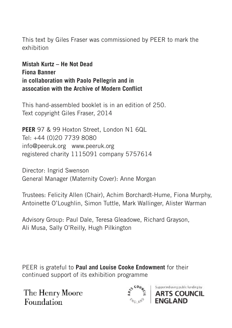This text by Giles Fraser was commissioned by PEER to mark the exhibition

**Mistah Kurtz – He Not Dead Fiona Banner in collaboration with Paolo Pellegrin and in assocation with the Archive of Modern Conflict**

This hand-assembled booklet is in an edition of 250. Text copyright Giles Fraser, 2014

**PEER** 97 & 99 Hoxton Street, London N1 6QL Tel: +44 (0)20 7739 8080 info@peeruk.org www.peeruk.org registered charity 1115091 company 5757614

Director: Ingrid Swenson General Manager (Maternity Cover): Anne Morgan

Trustees: Felicity Allen (Chair), Achim Borchardt-Hume, Fiona Murphy, Antoinette O'Loughlin, Simon Tuttle, Mark Wallinger, Alister Warman

Advisory Group: Paul Dale, Teresa Gleadowe, Richard Grayson, Ali Musa, Sally O'Reilly, Hugh Pilkington

PEER is grateful to **Paul and Louise Cooke Endowment** for their continued support of its exhibition programme

The Henry Moore Foundation